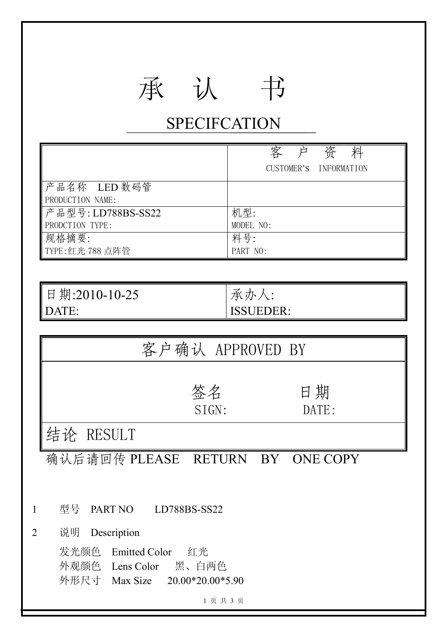## 承 认 书

## **SPECIFCATION**

|                                  | 客<br>资<br>CUSTOMER'S INFORMATION |
|----------------------------------|----------------------------------|
| 产品名称 LED 数码管<br>PRODUCTION NAME: |                                  |
| 产品型号: LD788BS-SS22               | 机型:                              |
| PRODCTION TYPE:                  | MODEL NO:                        |
| 规格摘要:                            | 料号:                              |
| TYPE: 红光 788 点阵管                 | PART NO:                         |

| 日期:2010-10-25 | 承<br>ホ      |
|---------------|-------------|
| ГF            | JEDER:      |
| I A I         | <b>1881</b> |

|                | 客户确认 APPROVED BY                                                                 |  |  |  |  |  |  |
|----------------|----------------------------------------------------------------------------------|--|--|--|--|--|--|
|                | 日期<br>签名<br>SIGN:<br>DATE:                                                       |  |  |  |  |  |  |
|                | 结论 RESULT                                                                        |  |  |  |  |  |  |
|                | 确认后请回传 PLEASE RETURN BY ONE COPY                                                 |  |  |  |  |  |  |
| $\mathbf 1$    | 型号 PART NO<br>LD788BS-SS22                                                       |  |  |  |  |  |  |
| $\overline{2}$ | 说明<br>Description                                                                |  |  |  |  |  |  |
|                | 发光颜色 Emitted Color 红光<br>外观颜色 Lens Color 黑、白两色<br>外形尺寸 Max Size 20.00*20.00*5.90 |  |  |  |  |  |  |
|                | 1页共3页                                                                            |  |  |  |  |  |  |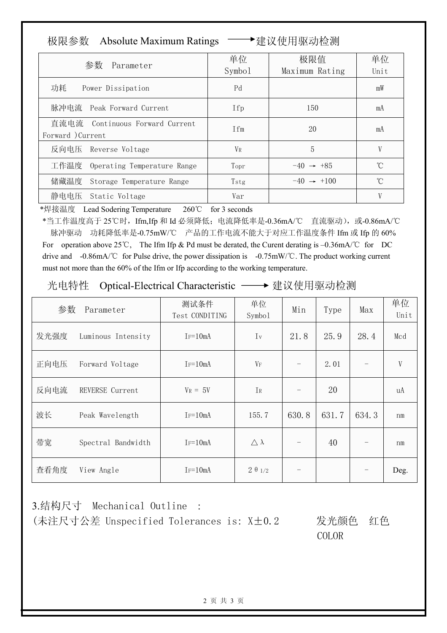| 极限参数 | <b>Absolute Maximum Ratings</b> |
|------|---------------------------------|
|      |                                 |

▶建议使用驱动检测

| 参数<br>Parameter                                      | 单位<br>Symbo1   | 极限值<br>Maximum Rating  | 单位<br>Unit |
|------------------------------------------------------|----------------|------------------------|------------|
| 功耗<br>Power Dissipation                              | Pd             |                        | mW         |
| 脉冲电流 Peak Forward Current                            | Ifp            | 150                    | mA         |
| 直流电流 Continuous Forward Current<br>Forward ) Current | <b>T</b> fm    | 20                     | mA         |
| 反向电压 Reverse Voltage                                 | V <sub>R</sub> | 5                      |            |
| 工作温度 Operating Temperature Range                     | Topr           | $-40 \rightarrow +85$  | °C         |
| 储藏温度 Storage Temperature Range                       | Tstg           | $-40 \rightarrow +100$ | U          |
| 静电电压 Static Voltage                                  | Var            |                        | V          |

\*焊接温度 Lead Sodering Temperature 260℃ for 3 seconds

\*当工作温度高于 25℃时,Ifm,Ifp 和 Id 必须降低;电流降低率是-0.36mA/℃ 直流驱动),或-0.86mA/℃ 脉冲驱动 功耗降低率是-0.75mW/℃ 产品的工作电流不能大于对应工作温度条件 Ifm 或 Ifp 的 60% For operation above 25℃, The Ifm Ifp & Pd must be derated, the Curent derating is –0.36mA/℃ for DC drive and -0.86mA/℃ for Pulse drive, the power dissipation is -0.75mW/℃. The product working current must not more than the 60% of the Ifm or Ifp according to the working temperature.

光电特性 Optical-Electrical Characteristic –→ 建议使用驱动检测

| 参数   | Parameter          | 测试条件<br>Test CONDITING | 单位<br>Symbo1           | Min   | Type  | Max   | 单位<br>Unit |
|------|--------------------|------------------------|------------------------|-------|-------|-------|------------|
| 发光强度 | Luminous Intensity | $I_F = 10mA$           | $I_{v}$                | 21.8  | 25.9  | 28.4  | Mcd        |
| 正向电压 | Forward Voltage    | $I_F = 10mA$           | $V_F$                  |       | 2.01  |       | V          |
| 反向电流 | REVERSE Current    | $V_R = 5V$             | IR                     |       | 20    |       | uA         |
| 波长   | Peak Wavelength    | $I_F = 10mA$           | 155.7                  | 630.8 | 631.7 | 634.3 | nm         |
| 带宽   | Spectral Bandwidth | $I_F = 10mA$           | $\triangle \lambda$    |       | 40    |       | nm         |
| 查看角度 | View Angle         | $I = 10mA$             | $2 \theta \frac{1}{2}$ |       |       |       | Deg.       |

3.结构尺寸 Mechanical Outline : (未注尺寸公差 Unspecified Tolerances is: X±0.2 发光颜色 红色

COLOR